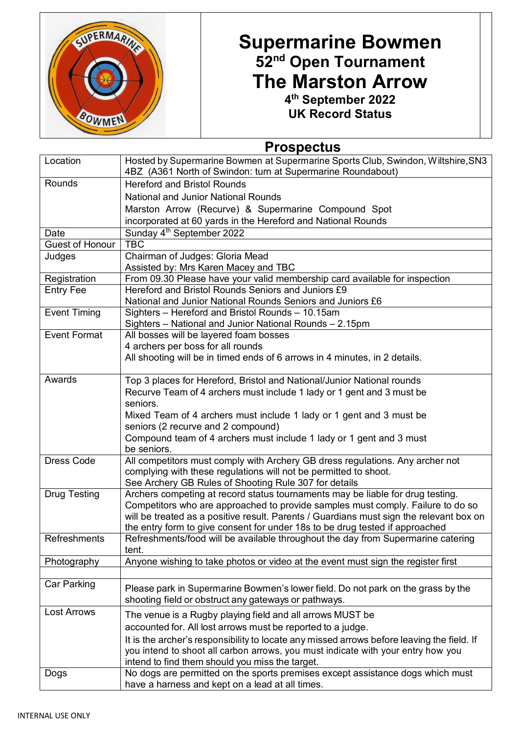

## **Supermarine Bowmen 52nd Open Tournament The Marston Arrow 4th September 2022**

**UK Record Status**

## **Prospectus**

| Location            | Hosted by Supermarine Bowmen at Supermarine Sports Club, Swindon, Wiltshire, SN3<br>4BZ (A361 North of Swindon: turn at Supermarine Roundabout) |
|---------------------|-------------------------------------------------------------------------------------------------------------------------------------------------|
| Rounds              | <b>Hereford and Bristol Rounds</b>                                                                                                              |
|                     | <b>National and Junior National Rounds</b>                                                                                                      |
|                     | Marston Arrow (Recurve) & Supermarine Compound Spot                                                                                             |
|                     | incorporated at 60 yards in the Hereford and National Rounds                                                                                    |
| Date                | Sunday 4 <sup>th</sup> September 2022                                                                                                           |
| Guest of Honour     | <b>TBC</b>                                                                                                                                      |
| Judges              | Chairman of Judges: Gloria Mead                                                                                                                 |
|                     | Assisted by: Mrs Karen Macey and TBC                                                                                                            |
| Registration        | From 09.30 Please have your valid membership card available for inspection<br>Hereford and Bristol Rounds Seniors and Juniors £9                |
| <b>Entry Fee</b>    | National and Junior National Rounds Seniors and Juniors £6                                                                                      |
| <b>Event Timing</b> | Sighters - Hereford and Bristol Rounds - 10.15am                                                                                                |
|                     | Sighters - National and Junior National Rounds - 2.15pm                                                                                         |
| <b>Event Format</b> | All bosses will be layered foam bosses                                                                                                          |
|                     | 4 archers per boss for all rounds                                                                                                               |
|                     | All shooting will be in timed ends of 6 arrows in 4 minutes, in 2 details.                                                                      |
|                     |                                                                                                                                                 |
| Awards              | Top 3 places for Hereford, Bristol and National/Junior National rounds                                                                          |
|                     | Recurve Team of 4 archers must include 1 lady or 1 gent and 3 must be                                                                           |
|                     | seniors.                                                                                                                                        |
|                     | Mixed Team of 4 archers must include 1 lady or 1 gent and 3 must be                                                                             |
|                     | seniors (2 recurve and 2 compound)                                                                                                              |
|                     | Compound team of 4 archers must include 1 lady or 1 gent and 3 must<br>be seniors.                                                              |
| <b>Dress Code</b>   | All competitors must comply with Archery GB dress regulations. Any archer not                                                                   |
|                     | complying with these regulations will not be permitted to shoot.                                                                                |
|                     | See Archery GB Rules of Shooting Rule 307 for details                                                                                           |
| <b>Drug Testing</b> | Archers competing at record status tournaments may be liable for drug testing.                                                                  |
|                     | Competitors who are approached to provide samples must comply. Failure to do so                                                                 |
|                     | will be treated as a positive result. Parents / Guardians must sign the relevant box on                                                         |
|                     | the entry form to give consent for under 18s to be drug tested if approached                                                                    |
| Refreshments        | Refreshments/food will be available throughout the day from Supermarine catering<br>tent.                                                       |
| Photography         | Anyone wishing to take photos or video at the event must sign the register first                                                                |
|                     |                                                                                                                                                 |
| Car Parking         | Please park in Supermarine Bowmen's lower field. Do not park on the grass by the                                                                |
|                     | shooting field or obstruct any gateways or pathways.                                                                                            |
| <b>Lost Arrows</b>  | The venue is a Rugby playing field and all arrows MUST be                                                                                       |
|                     | accounted for. All lost arrows must be reported to a judge.                                                                                     |
|                     | It is the archer's responsibility to locate any missed arrows before leaving the field. If                                                      |
|                     | you intend to shoot all carbon arrows, you must indicate with your entry how you                                                                |
|                     | intend to find them should you miss the target.                                                                                                 |
| Dogs                | No dogs are permitted on the sports premises except assistance dogs which must                                                                  |
|                     | have a harness and kept on a lead at all times.                                                                                                 |